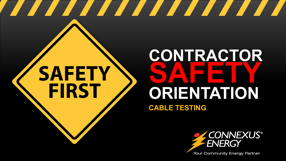# **SAFETY FIRST**

## **CONTRACTOR SAFETY ORIENTATION CABLE TESTING**

<u> Angeling Station and der Belling and der Belling and der Belling and der Belling and der Belling and der Bell</u>



**Your Community Energy Partner**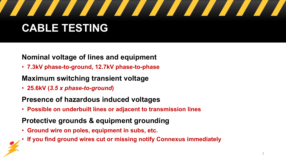

#### **Nominal voltage of lines and equipment**

• **7.3kV phase-to-ground, 12.7kV phase-to-phase**

#### **Maximum switching transient voltage**

• **25.6kV (***3.5 x phase-to-ground***)**

#### **Presence of hazardous induced voltages**

• **Possible on underbuilt lines or adjacent to transmission lines**

#### **Protective grounds & equipment grounding**

- **Ground wire on poles, equipment in subs, etc.**
- **If you find ground wires cut or missing notify Connexus immediately**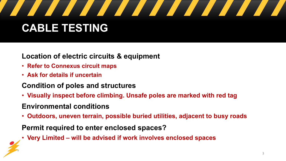

#### **Location of electric circuits & equipment**

- **Refer to Connexus circuit maps**
- **Ask for details if uncertain**

#### **Condition of poles and structures**

• **Visually inspect before climbing. Unsafe poles are marked with red tag** 

#### **Environmental conditions**

• **Outdoors, uneven terrain, possible buried utilities, adjacent to busy roads**

#### **Permit required to enter enclosed spaces?**

• **Very Limited – will be advised if work involves enclosed spaces**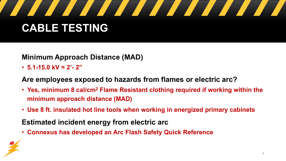

#### **Minimum Approach Distance (MAD)**

• **5.1-15.0 kV = 2'- 2"**

#### **Are employees exposed to hazards from flames or electric arc?**

- **Yes, minimum 8 cal/cm2 Flame Resistant clothing required if working within the minimum approach distance (MAD)**
- **Use 8 ft. insulated hot line tools when working in energized primary cabinets**
- **Estimated incident energy from electric arc**
- **Connexus has developed an Arc Flash Safety Quick Reference**

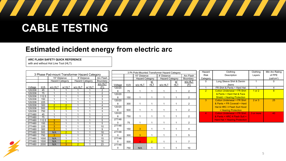

#### **Estimated incident energy from electric arc**

#### **ARC FLASH SAFETY QUICK REFERENCE**

with and without Hot Line Tool (HLT)

|         |                                               |                        |                |                 |        |                 | 3 Ph Pole-Mounted Transformer Hazard Category |                        |                        |                        |             |            |                | Hazard                   | Clothing                             | Clothing               | Min Arc Rating |
|---------|-----------------------------------------------|------------------------|----------------|-----------------|--------|-----------------|-----------------------------------------------|------------------------|------------------------|------------------------|-------------|------------|----------------|--------------------------|--------------------------------------|------------------------|----------------|
|         | 3 Phase Pad-mount Transformer Hazard Category |                        |                |                 |        |                 |                                               |                        | 15" Distance           |                        | 8' Distance |            | Arc Flash      | <b>Risk</b>              | Description                          | Layers                 | of PPE         |
|         |                                               | 15" Distance           |                | 8' Distance     |        | Arc Flash       |                                               | <b>Hazard Category</b> |                        | <b>Hazard Category</b> |             | Boundary   | Category       |                          |                                      | (cal/cm <sup>2</sup> ) |                |
|         |                                               | <b>Hazard Category</b> |                | Hazard Category |        | Boundary        |                                               |                        |                        | <u>w/</u>              |             | <u>w/</u>  | w/o HLT        | $\mathbf 0$              | Long Sleeve Shirt & Denim            |                        | $\Omega$       |
|         |                                               |                        |                |                 |        | w/o HLT         | Voltage                                       | kVA                    | w/o HLT                | <b>HLT</b>             | w/o HLT     | <b>HLT</b> | (Ft)           |                          | Jeans                                |                        |                |
| Voltage | kVA                                           | w/o HLT                | w/ HLT         | w/o HLT         | w/ HLT | (Ft)            | 120/20                                        |                        |                        |                        |             |            |                |                          | FR Shirt & Pants + Hard Hat          |                        | 4              |
| 120/208 | 45                                            |                        |                |                 |        | 2               |                                               | 75                     |                        |                        |             |            | $\overline{2}$ | 2 <sup>1</sup>           | Cotton Underwear + FR Shirt          | 1 or 2                 | 8 <sup>2</sup> |
| 120/208 | 75                                            |                        |                |                 |        | $\overline{2}$  | 120/20                                        |                        |                        |                        |             |            |                |                          | & Pants + Hard Hat & Face            |                        |                |
| 120/208 | 112.5                                         |                        |                |                 |        | 3               | 8                                             | 150                    |                        |                        |             |            | 2              |                          | <b>Shield + Hearing Protection</b>   |                        |                |
| 120/208 | 150                                           |                        |                |                 |        | 3               | 120/20                                        |                        |                        |                        |             |            |                | 3                        | Cotton Underwear + FR Shirt          | 2 or 3                 | 25             |
| 120/208 | 225                                           |                        |                |                 |        | 3               |                                               | 300                    |                        |                        |             |            | $\overline{2}$ |                          | & Pants + FR Coverall + Hard         |                        |                |
| 120/208 | 300                                           | $\overline{2}$         | $\overline{2}$ |                 |        | $\overline{4}$  | 120/20                                        |                        |                        |                        |             |            |                |                          | Hat & HRC 3 Flash Suit Hood          |                        |                |
| 120/208 | 500                                           | $\overline{2}$         | $\overline{2}$ |                 |        | $\overline{4}$  |                                               |                        |                        |                        |             |            |                |                          |                                      |                        |                |
| 120/208 | 750                                           |                        |                |                 |        | 3               |                                               | 500                    |                        |                        |             |            | $\overline{2}$ |                          | + Hearing Protection                 |                        |                |
| 277/480 | 45                                            |                        |                |                 |        |                 | 120/20                                        |                        |                        |                        |             |            |                | $\boldsymbol{\varDelta}$ | <b>Cotton Underwear + FR Shirt</b>   | 3 or more              | 40             |
| 277/480 | 75                                            |                        |                |                 |        | $\overline{2}$  |                                               | 750                    |                        |                        |             |            | $\overline{2}$ |                          | & Pants + HRC 4 Flash Suit +         |                        |                |
| 277/480 | 112.5                                         | 3                      |                |                 |        | 5               | 277/48                                        |                        |                        |                        |             |            |                |                          | <b>Hard Hat + Hearing Protection</b> |                        |                |
| 277/480 | 150                                           | $\overline{3}$         |                |                 |        | 5               |                                               | 75                     |                        |                        |             |            | $\overline{2}$ |                          |                                      |                        |                |
| 277/480 | 225                                           | $\overline{3}$         |                |                 |        | 10 <sup>°</sup> | 277/48                                        |                        |                        |                        |             |            |                |                          |                                      |                        |                |
| 277/480 | 300                                           | $\mathbf{3}$           |                |                 |        | 9               |                                               | 150                    | $\overline{3}$         |                        |             |            |                |                          |                                      |                        |                |
| 277/480 | 500                                           | N/A                    | $\overline{2}$ |                 |        | 18              | 277/48                                        |                        |                        |                        |             |            |                |                          |                                      |                        |                |
| 277/480 | 750                                           | $\mathbf{3}$           |                |                 |        | 8               |                                               | 300                    | $\overline{3}$         |                        |             |            | 5              |                          |                                      |                        |                |
| 277/480 | 1000                                          | N/A                    |                |                 |        | 15              | 277/48                                        |                        |                        |                        |             |            |                |                          |                                      |                        |                |
| 277/480 | 1500                                          | N/A                    | $\overline{2}$ |                 |        | 18              | 0                                             | 500                    | $\boldsymbol{\Lambda}$ | $\overline{2}$         |             |            | $\overline{ }$ |                          |                                      |                        |                |
| 277/480 | 2000                                          | N/A                    | 3              | $\overline{2}$  |        | 23              | 277/48                                        |                        |                        |                        |             |            |                |                          |                                      |                        |                |
|         |                                               |                        |                |                 |        |                 | 0                                             | 750                    | N/A                    |                        |             |            | 10             |                          |                                      |                        |                |

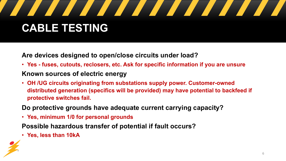

**Are devices designed to open/close circuits under load?** 

- **Yes - fuses, cutouts, reclosers, etc. Ask for specific information if you are unsure Known sources of electric energy**
- **OH /UG circuits originating from substations supply power. Customer-owned distributed generation (specifics will be provided) may have potential to backfeed if protective switches fail.**
- **Do protective grounds have adequate current carrying capacity?**
- **Yes, minimum 1/0 for personal grounds**

**Possible hazardous transfer of potential if fault occurs?** 

• **Yes, less than 10kA**